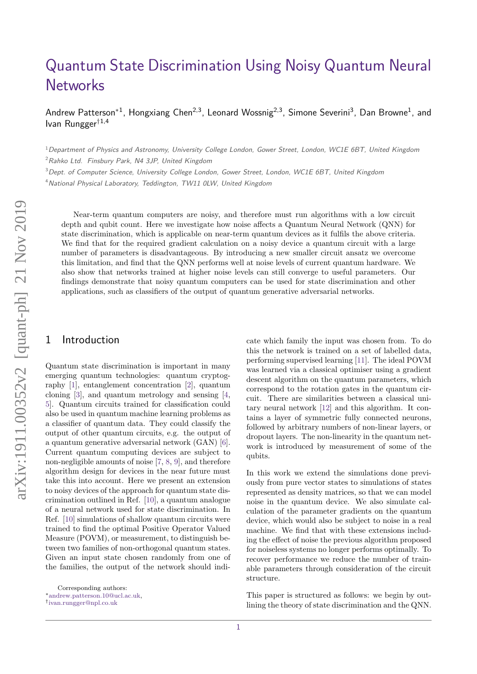# [Quantum State Discrimination Using Noisy Quantum Neural](https://quantum-journal.org/?s=Quantum%20State%20Discrimination%20Using%20Noisy%20Quantum%20Neural%20Networks&reason=title-click) **[Networks](https://quantum-journal.org/?s=Quantum%20State%20Discrimination%20Using%20Noisy%20Quantum%20Neural%20Networks&reason=title-click)**

Andrew Patterson\*<sup>1</sup>, Hongxiang Chen<sup>2,3</sup>, Leonard Wossnig<sup>2,3</sup>, Simone Severini<sup>3</sup>, Dan Browne<sup>1</sup>, and Ivan Rungger†1,4

<sup>1</sup>Department of Physics and Astronomy, University College London, Gower Street, London, WC1E 6BT, United Kingdom

 $2$ Rahko Ltd. Finsbury Park, N4 3JP, United Kingdom

<sup>3</sup> Dept. of Computer Science, University College London, Gower Street, London, WC1E 6BT, United Kingdom

<sup>4</sup> National Physical Laboratory, Teddington, TW11 0LW, United Kingdom

Near-term quantum computers are noisy, and therefore must run algorithms with a low circuit depth and qubit count. Here we investigate how noise affects a Quantum Neural Network (QNN) for state discrimination, which is applicable on near-term quantum devices as it fulfils the above criteria. We find that for the required gradient calculation on a noisy device a quantum circuit with a large number of parameters is disadvantageous. By introducing a new smaller circuit ansatz we overcome this limitation, and find that the QNN performs well at noise levels of current quantum hardware. We also show that networks trained at higher noise levels can still converge to useful parameters. Our findings demonstrate that noisy quantum computers can be used for state discrimination and other applications, such as classifiers of the output of quantum generative adversarial networks.

# 1 Introduction

Quantum state discrimination is important in many emerging quantum technologies: quantum cryptography [\[1\]](#page-7-0), entanglement concentration [\[2\]](#page-7-1), quantum cloning [\[3\]](#page-7-2), and quantum metrology and sensing [\[4,](#page-7-3) [5\]](#page-7-4). Quantum circuits trained for classification could also be used in quantum machine learning problems as a classifier of quantum data. They could classify the output of other quantum circuits, e.g. the output of a quantum generative adversarial network (GAN) [\[6\]](#page-7-5). Current quantum computing devices are subject to non-negligible amounts of noise [\[7,](#page-7-6) [8,](#page-7-7) [9\]](#page-7-8), and therefore algorithm design for devices in the near future must take this into account. Here we present an extension to noisy devices of the approach for quantum state discrimination outlined in Ref. [\[10\]](#page-7-9), a quantum analogue of a neural network used for state discrimination. In Ref. [\[10\]](#page-7-9) simulations of shallow quantum circuits were trained to find the optimal Positive Operator Valued Measure (POVM), or measurement, to distinguish between two families of non-orthogonal quantum states. Given an input state chosen randomly from one of the families, the output of the network should indicate which family the input was chosen from. To do this the network is trained on a set of labelled data, performing supervised learning [\[11\]](#page-7-10). The ideal POVM was learned via a classical optimiser using a gradient descent algorithm on the quantum parameters, which correspond to the rotation gates in the quantum circuit. There are similarities between a classical unitary neural network [\[12\]](#page-7-11) and this algorithm. It contains a layer of symmetric fully connected neurons, followed by arbitrary numbers of non-linear layers, or dropout layers. The non-linearity in the quantum network is introduced by measurement of some of the qubits.

In this work we extend the simulations done previously from pure vector states to simulations of states represented as density matrices, so that we can model noise in the quantum device. We also simulate calculation of the parameter gradients on the quantum device, which would also be subject to noise in a real machine. We find that with these extensions including the effect of noise the previous algorithm proposed for noiseless systems no longer performs optimally. To recover performance we reduce the number of trainable parameters through consideration of the circuit structure.

This paper is structured as follows: we begin by outlining the theory of state discrimination and the QNN.

Corresponding authors:

<sup>∗</sup>[andrew.patterson.10@ucl.ac.uk,](mailto:andrew.patterson.10@ucl.ac.uk)

<sup>†</sup> [ivan.rungger@npl.co.uk](mailto:ivan.rungger@npl.co.uk)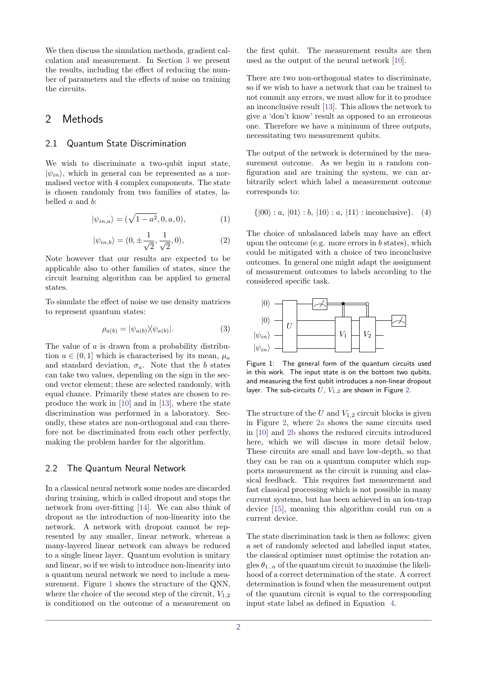We then discuss the simulation methods, gradient calculation and measurement. In Section [3](#page-4-0) we present the results, including the effect of reducing the number of parameters and the effects of noise on training the circuits.

## 2 Methods

#### 2.1 Quantum State Discrimination

We wish to discriminate a two-qubit input state,  $|\psi_{in}\rangle$ , which in general can be represented as a normalised vector with 4 complex components. The state is chosen randomly from two families of states, labelled *a* and *b*:

$$
|\psi_{in,a}\rangle = (\sqrt{1-a^2}, 0, a, 0), \tag{1}
$$

$$
|\psi_{in,b}\rangle = (0, \pm \frac{1}{\sqrt{2}}, \frac{1}{\sqrt{2}}, 0),
$$
 (2)

Note however that our results are expected to be applicable also to other families of states, since the circuit learning algorithm can be applied to general states.

To simulate the effect of noise we use density matrices to represent quantum states:

$$
\rho_{a(b)} = |\psi_{a(b)}\rangle\langle\psi_{a(b)}|.
$$
\n(3)

The value of *a* is drawn from a probability distribution  $a \in (0,1]$  which is characterised by its mean,  $\mu_a$ and standard deviation,  $\sigma_a$ . Note that the *b* states can take two values, depending on the sign in the second vector element; these are selected randomly, with equal chance. Primarily these states are chosen to reproduce the work in [\[10\]](#page-7-9) and in [\[13\]](#page-7-12), where the state discrimination was performed in a laboratory. Secondly, these states are non-orthogonal and can therefore not be discriminated from each other perfectly, making the problem harder for the algorithm.

### 2.2 The Quantum Neural Network

In a classical neural network some nodes are discarded during training, which is called dropout and stops the network from over-fitting [\[14\]](#page-7-13). We can also think of dropout as the introduction of non-linearity into the network. A network with dropout cannot be represented by any smaller, linear network, whereas a many-layered linear network can always be reduced to a single linear layer. Quantum evolution is unitary and linear, so if we wish to introduce non-linearity into a quantum neural network we need to include a measurement. Figure [1](#page-1-0) shows the structure of the QNN, where the choice of the second step of the circuit,  $V_{1,2}$ is conditioned on the outcome of a measurement on the first qubit. The measurement results are then used as the output of the neural network [\[10\]](#page-7-9).

There are two non-orthogonal states to discriminate, so if we wish to have a network that can be trained to not commit any errors, we must allow for it to produce an inconclusive result [\[13\]](#page-7-12). This allows the network to give a 'don't know' result as opposed to an erroneous one. Therefore we have a minimum of three outputs, necessitating two measurement qubits.

The output of the network is determined by the measurement outcome. As we begin in a random configuration and are training the system, we can arbitrarily select which label a measurement outcome corresponds to:

<span id="page-1-1"></span>
$$
\{|00\rangle : a, |01\rangle : b, |10\rangle : a, |11\rangle : inconclusive\}.
$$
 (4)

The choice of unbalanced labels may have an effect upon the outcome (e.g. more errors in *b* states), which could be mitigated with a choice of two inconclusive outcomes. In general one might adapt the assignment of measurement outcomes to labels according to the considered specific task.

<span id="page-1-0"></span>

Figure 1: The general form of the quantum circuits used in this work. The input state is on the bottom two qubits, and measuring the first qubit introduces a non-linear dropout layer. The sub-circuits *U*, *V*1*,*<sup>2</sup> are shown in Figure [2.](#page-2-0)

The structure of the  $U$  and  $V_{1,2}$  circuit blocks is given in Figure [2,](#page-2-0) where [2a](#page-2-0) shows the same circuits used in [\[10\]](#page-7-9) and [2b](#page-2-0) shows the reduced circuits introduced here, which we will discuss in more detail below. These circuits are small and have low-depth, so that they can be ran on a quantum computer which supports measurement as the circuit is running and classical feedback. This requires fast measurement and fast classical processing which is not possible in many current systems, but has been achieved in an ion-trap device [\[15\]](#page-7-14), meaning this algorithm could run on a current device.

The state discrimination task is then as follows: given a set of randomly selected and labelled input states, the classical optimiser must optimise the rotation angles  $\theta_{1,n}$  of the quantum circuit to maximise the likelihood of a correct determination of the state. A correct determination is found when the measurement output of the quantum circuit is equal to the corresponding input state label as defined in Equation [4.](#page-1-1)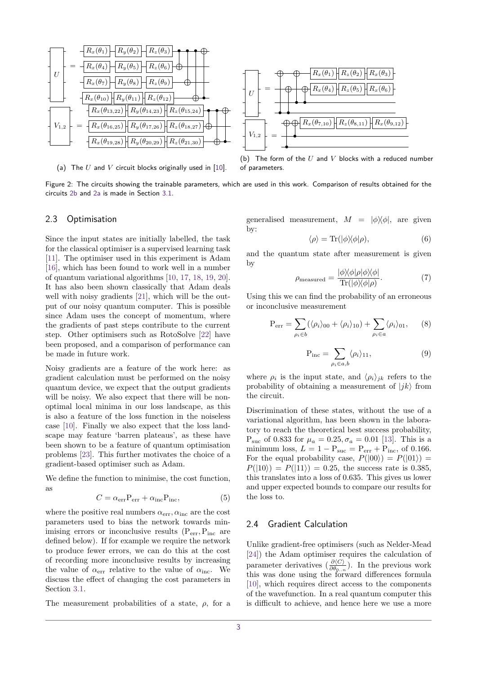<span id="page-2-0"></span>

(a) The *U* and *V* circuit blocks originally used in [\[10\]](#page-7-9).

(b) The form of the *U* and *V* blocks with a reduced number of parameters.

Figure 2: The circuits showing the trainable parameters, which are used in this work. Comparison of results obtained for the circuits [2b](#page-2-0) and [2a](#page-2-0) is made in Section [3.1.](#page-4-1)

#### 2.3 Optimisation

Since the input states are initially labelled, the task for the classical optimiser is a supervised learning task [\[11\]](#page-7-10). The optimiser used in this experiment is Adam [\[16\]](#page-7-15), which has been found to work well in a number of quantum variational algorithms [\[10,](#page-7-9) [17,](#page-7-16) [18,](#page-8-0) [19,](#page-8-1) [20\]](#page-8-2). It has also been shown classically that Adam deals well with noisy gradients [\[21\]](#page-8-3), which will be the output of our noisy quantum computer. This is possible since Adam uses the concept of momentum, where the gradients of past steps contribute to the current step. Other optimisers such as RotoSolve [\[22\]](#page-8-4) have been proposed, and a comparison of performance can be made in future work.

Noisy gradients are a feature of the work here: as gradient calculation must be performed on the noisy quantum device, we expect that the output gradients will be noisy. We also expect that there will be nonoptimal local minima in our loss landscape, as this is also a feature of the loss function in the noiseless case [\[10\]](#page-7-9). Finally we also expect that the loss landscape may feature 'barren plateaus', as these have been shown to be a feature of quantum optimisation problems [\[23\]](#page-8-5). This further motivates the choice of a gradient-based optimiser such as Adam.

We define the function to minimise, the cost function, as

$$
C = \alpha_{\rm err} P_{\rm err} + \alpha_{\rm inc} P_{\rm inc},\tag{5}
$$

where the positive real numbers  $\alpha_{\rm err}, \alpha_{\rm inc}$  are the cost parameters used to bias the network towards minimising errors or inconclusive results (P<sub>err</sub>, P<sub>inc</sub> are defined below). If for example we require the network to produce fewer errors, we can do this at the cost of recording more inconclusive results by increasing the value of  $\alpha_{\rm err}$  relative to the value of  $\alpha_{\rm inc}$ . We discuss the effect of changing the cost parameters in Section [3.1.](#page-4-1)

The measurement probabilities of a state, *ρ*, for a

generalised measurement,  $M = |\phi\rangle\langle\phi|$ , are given by:

$$
\langle \rho \rangle = \text{Tr}(|\phi\rangle\langle \phi|\rho), \tag{6}
$$

and the quantum state after measurement is given by |*φ*ih*φ*|*ρ*|*φ*ih*φ*|

$$
\rho_{\text{measured}} = \frac{|\phi \rangle \langle \phi | \rho | \phi \rangle \langle \phi |}{\text{Tr}(|\phi \rangle \langle \phi | \rho)}.
$$
(7)

Using this we can find the probability of an erroneous or inconclusive measurement

$$
P_{err} = \sum_{\rho_i \in b} (\langle \rho_i \rangle_{00} + \langle \rho_i \rangle_{10}) + \sum_{\rho_i \in a} \langle \rho_i \rangle_{01}, \qquad (8)
$$

$$
P_{inc} = \sum_{\rho_i \in a,b} \langle \rho_i \rangle_{11},\tag{9}
$$

where  $\rho_i$  is the input state, and  $\langle \rho_i \rangle_{jk}$  refers to the probability of obtaining a measurement of  $|jk\rangle$  from the circuit.

Discrimination of these states, without the use of a variational algorithm, has been shown in the laboratory to reach the theoretical best success probability, P<sub>suc</sub> of 0.833 for  $\mu_a = 0.25, \sigma_a = 0.01$  [\[13\]](#page-7-12). This is a minimum loss,  $L = 1 - P_{\text{succ}} = P_{\text{err}} + P_{\text{inc}}$ , of 0.166. For the equal probability case,  $P(|00\rangle) = P(|01\rangle) =$  $P(|10\rangle) = P(|11\rangle) = 0.25$ , the success rate is 0.385, this translates into a loss of 0*.*635. This gives us lower and upper expected bounds to compare our results for the loss to.

### <span id="page-2-1"></span>2.4 Gradient Calculation

Unlike gradient-free optimisers (such as Nelder-Mead [\[24\]](#page-8-6)) the Adam optimiser requires the calculation of parameter derivatives  $\left(\frac{\partial \langle C \rangle}{\partial \theta_{0..n}}\right)$ . In the previous work this was done using the forward differences formula [\[10\]](#page-7-9), which requires direct access to the components of the wavefunction. In a real quantum computer this is difficult to achieve, and hence here we use a more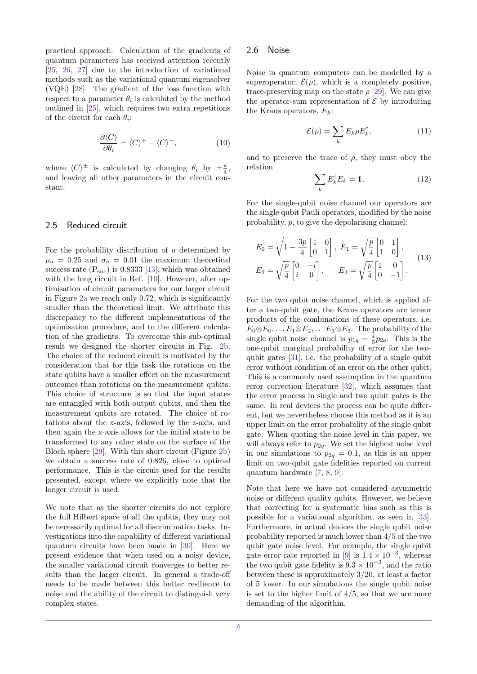practical approach. Calculation of the gradients of quantum parameters has received attention recently [\[25,](#page-8-7) [26,](#page-8-8) [27\]](#page-8-9) due to the introduction of variational methods such as the variational quantum eigensolver (VQE) [\[28\]](#page-8-10). The gradient of the loss function with respect to a parameter  $\theta_i$  is calculated by the method outlined in [\[25\]](#page-8-7), which requires two extra repetitions of the circuit for each  $\theta_i$ :

$$
\frac{\partial \langle C \rangle}{\partial \theta_i} = \langle C \rangle^+ - \langle C \rangle^-, \tag{10}
$$

where  $\langle C \rangle^{\pm}$  is calculated by changing  $\theta_i$  by  $\pm \frac{\pi}{4}$ , and leaving all other parameters in the circuit constant.

### 2.5 Reduced circuit

For the probability distribution of *a* determined by  $\mu_a = 0.25$  and  $\sigma_a = 0.01$  the maximum theoretical success rate  $(P_{\text{succ}})$  is 0.8333 [\[13\]](#page-7-12), which was obtained with the long circuit in Ref. [\[10\]](#page-7-9). However, after optimisation of circuit parameters for our larger circuit in Figure [2a](#page-2-0) we reach only 0*.*72, which is significantly smaller than the theoretical limit. We attribute this discrepancy to the different implementations of the optimisation procedure, and to the different calculation of the gradients. To overcome this sub-optimal result we designed the shorter circuits in Fig. [2b.](#page-2-0) The choice of the reduced circuit is motivated by the consideration that for this task the rotations on the state qubits have a smaller effect on the measurement outcomes than rotations on the measurement qubits. This choice of structure is so that the input states are entangled with both output qubits, and then the measurement qubits are rotated. The choice of rotations about the x-axis, followed by the z-axis, and then again the x-axis allows for the initial state to be transformed to any other state on the surface of the Bloch sphere [\[29\]](#page-8-11). With this short circuit (Figure [2b\)](#page-2-0) we obtain a success rate of 0*.*826, close to optimal performance. This is the circuit used for the results presented, except where we explicitly note that the longer circuit is used.

We note that as the shorter circuits do not explore the full Hilbert space of all the qubits, they may not be necessarily optimal for all discrimination tasks. Investigations into the capability of different variational quantum circuits have been made in [\[30\]](#page-8-12). Here we present evidence that when used on a noisy device, the smaller variational circuit converges to better results than the larger circuit. In general a trade-off needs to be made between this better resilience to noise and the ability of the circuit to distinguish very complex states.

#### 2.6 Noise

Noise in quantum computers can be modelled by a superoperator,  $\mathcal{E}(\rho)$ , which is a completely positive, trace-preserving map on the state  $\rho$  [\[29\]](#page-8-11). We can give the operator-sum representation of  $\mathcal E$  by introducing the Kraus operators, *Ek*:

$$
\mathcal{E}(\rho) = \sum_{k} E_k \rho E_k^{\dagger}, \qquad (11)
$$

and to preserve the trace of  $\rho$ , they must obey the relation

$$
\sum_{k} E_{k}^{\dagger} E_{k} = 1. \tag{12}
$$

For the single-qubit noise channel our operators are the single qubit Pauli operators, modified by the noise probability, *p*, to give the depolarising channel:

$$
E_0 = \sqrt{1 - \frac{3p}{4}} \begin{bmatrix} 1 & 0 \\ 0 & 1 \end{bmatrix}, E_1 = \sqrt{\frac{p}{4}} \begin{bmatrix} 0 & 1 \\ 1 & 0 \end{bmatrix},
$$
  
\n
$$
E_2 = \sqrt{\frac{p}{4}} \begin{bmatrix} 0 & -i \\ i & 0 \end{bmatrix}, E_3 = \sqrt{\frac{p}{4}} \begin{bmatrix} 1 & 0 \\ 0 & -1 \end{bmatrix}.
$$
 (13)

For the two qubit noise channel, which is applied after a two-qubit gate, the Kraus operators are tensor products of the combinations of these operators, i.e.  $E_0 \otimes E_0, \ldots E_1 \otimes E_2, \ldots E_3 \otimes E_3$ . The probability of the single qubit noise channel is  $p_{1q} = \frac{4}{5}p_{2q}$ . This is the one-qubit marginal probability of error for the twoqubit gates [\[31\]](#page-8-13), i.e. the probability of a single qubit error without condition of an error on the other qubit. This is a commonly used assumption in the quantum error correction literature [\[32\]](#page-8-14), which assumes that the error process in single and two qubit gates is the same. In real devices the process can be quite different, but we nevertheless choose this method as it is an upper limit on the error probability of the single qubit gate. When quoting the noise level in this paper, we will always refer to  $p_{2q}$ . We set the highest noise level in our simulations to  $p_{2q} = 0.1$ , as this is an upper limit on two-qubit gate fidelities reported on current quantum hardware [\[7,](#page-7-6) [8,](#page-7-7) [9\]](#page-7-8).

Note that here we have not considered asymmetric noise or different quality qubits. However, we believe that correcting for a systematic bias such as this is possible for a variational algorithm, as seen in [\[33\]](#page-8-15). Furthermore, in actual devices the single qubit noise probability reported is much lower than 4*/*5 of the two qubit gate noise level. For example, the single qubit gate error rate reported in [\[9\]](#page-7-8) is  $1.4 \times 10^{-3}$ , whereas the two qubit gate fidelity is  $9.3 \times 10^{-3}$ , and the ratio between these is approximately 3*/*20, at least a factor of 5 lower. In our simulations the single qubit noise is set to the higher limit of  $4/5$ , so that we are more demanding of the algorithm.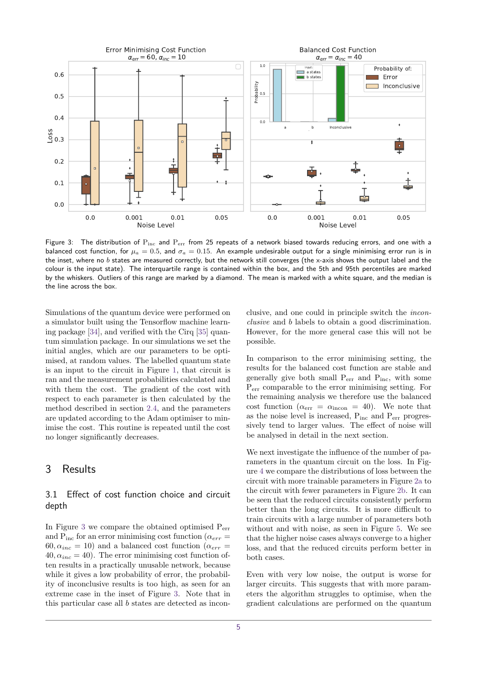<span id="page-4-2"></span>

Figure 3: The distribution of  $P_{inc}$  and  $P_{err}$  from 25 repeats of a network biased towards reducing errors, and one with a balanced cost function, for  $\mu_a = 0.5$ , and  $\sigma_a = 0.15$ . An example undesirable output for a single minimising error run is in the inset, where no *b* states are measured correctly, but the network still converges (the x-axis shows the output label and the colour is the input state). The interquartile range is contained within the box, and the 5th and 95th percentiles are marked by the whiskers. Outliers of this range are marked by a diamond. The mean is marked with a white square, and the median is the line across the box.

Simulations of the quantum device were performed on a simulator built using the Tensorflow machine learning package [\[34\]](#page-8-16), and verified with the Cirq [\[35\]](#page-8-17) quantum simulation package. In our simulations we set the initial angles, which are our parameters to be optimised, at random values. The labelled quantum state is an input to the circuit in Figure [1,](#page-1-0) that circuit is ran and the measurement probabilities calculated and with them the cost. The gradient of the cost with respect to each parameter is then calculated by the method described in section [2.4,](#page-2-1) and the parameters are updated according to the Adam optimiser to minimise the cost. This routine is repeated until the cost no longer significantly decreases.

# <span id="page-4-0"></span>3 Results

## <span id="page-4-1"></span>3.1 Effect of cost function choice and circuit depth

In Figure [3](#page-4-2) we compare the obtained optimised Perr and  $P_{inc}$  for an error minimising cost function ( $\alpha_{err}$ )  $60, \alpha_{inc} = 10$ ) and a balanced cost function ( $\alpha_{err}$ )  $40, \alpha_{inc} = 40$ ). The error minimising cost function often results in a practically unusable network, because while it gives a low probability of error, the probability of inconclusive results is too high, as seen for an extreme case in the inset of Figure [3.](#page-4-2) Note that in this particular case all *b* states are detected as inconclusive, and one could in principle switch the inconclusive and *b* labels to obtain a good discrimination. However, for the more general case this will not be possible.

In comparison to the error minimising setting, the results for the balanced cost function are stable and generally give both small  $P_{err}$  and  $P_{inc}$ , with some Perr comparable to the error minimising setting. For the remaining analysis we therefore use the balanced cost function ( $\alpha_{\text{err}} = \alpha_{\text{incon}} = 40$ ). We note that as the noise level is increased,  $P_{inc}$  and  $P_{err}$  progressively tend to larger values. The effect of noise will be analysed in detail in the next section.

We next investigate the influence of the number of parameters in the quantum circuit on the loss. In Figure [4](#page-5-0) we compare the distributions of loss between the circuit with more trainable parameters in Figure [2a](#page-2-0) to the circuit with fewer parameters in Figure [2b.](#page-2-0) It can be seen that the reduced circuits consistently perform better than the long circuits. It is more difficult to train circuits with a large number of parameters both without and with noise, as seen in Figure [5.](#page-5-1) We see that the higher noise cases always converge to a higher loss, and that the reduced circuits perform better in both cases.

Even with very low noise, the output is worse for larger circuits. This suggests that with more parameters the algorithm struggles to optimise, when the gradient calculations are performed on the quantum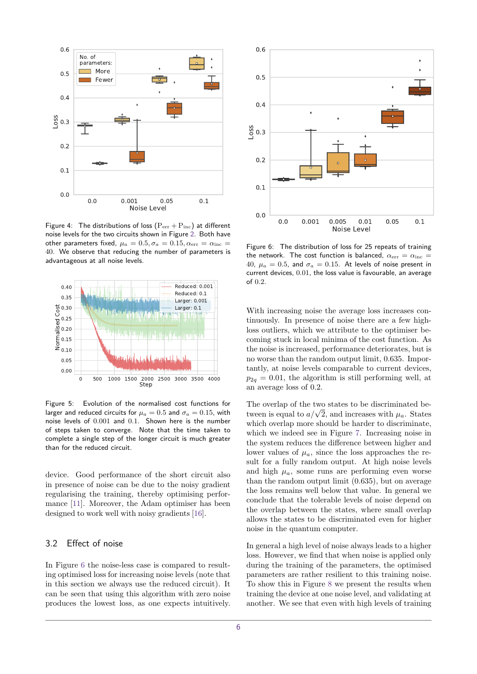<span id="page-5-0"></span>

Figure 4: The distributions of loss  $(P_{err} + P_{inc})$  at different noise levels for the two circuits shown in Figure [2.](#page-2-0) Both have other parameters fixed,  $\mu_a = 0.5, \sigma_a = 0.15, \alpha_{\text{err}} = \alpha_{\text{inc}} =$ 40. We observe that reducing the number of parameters is advantageous at all noise levels.

<span id="page-5-1"></span>

Figure 5: Evolution of the normalised cost functions for larger and reduced circuits for  $\mu_a = 0.5$  and  $\sigma_a = 0.15$ , with noise levels of 0*.*001 and 0*.*1. Shown here is the number of steps taken to converge. Note that the time taken to complete a single step of the longer circuit is much greater than for the reduced circuit.

device. Good performance of the short circuit also in presence of noise can be due to the noisy gradient regularising the training, thereby optimising performance [\[11\]](#page-7-10). Moreover, the Adam optimiser has been designed to work well with noisy gradients [\[16\]](#page-7-15).

### 3.2 Effect of noise

In Figure [6](#page-5-2) the noise-less case is compared to resulting optimised loss for increasing noise levels (note that in this section we always use the reduced circuit). It can be seen that using this algorithm with zero noise produces the lowest loss, as one expects intuitively.

<span id="page-5-2"></span>

Figure 6: The distribution of loss for 25 repeats of training the network. The cost function is balanced,  $\alpha_{\text{err}} = \alpha_{\text{inc}} =$ 40,  $\mu_a = 0.5$ , and  $\sigma_a = 0.15$ . At levels of noise present in current devices, 0*.*01, the loss value is favourable, an average of 0*.*2.

With increasing noise the average loss increases continuously. In presence of noise there are a few highloss outliers, which we attribute to the optimiser becoming stuck in local minima of the cost function. As the noise is increased, performance deteriorates, but is no worse than the random output limit, 0*.*635. Importantly, at noise levels comparable to current devices,  $p_{2q} = 0.01$ , the algorithm is still performing well, at an average loss of 0*.*2.

The overlap of the two states to be discriminated be-The overlap of the two states to be discriminated be-<br>tween is equal to  $a/\sqrt{2}$ , and increases with  $\mu_a$ . States which overlap more should be harder to discriminate, which we indeed see in Figure [7.](#page-6-0) Increasing noise in the system reduces the difference between higher and lower values of  $\mu_a$ , since the loss approaches the result for a fully random output. At high noise levels and high  $\mu_a$ , some runs are performing even worse than the random output limit (0*.*635), but on average the loss remains well below that value. In general we conclude that the tolerable levels of noise depend on the overlap between the states, where small overlap allows the states to be discriminated even for higher noise in the quantum computer.

In general a high level of noise always leads to a higher loss. However, we find that when noise is applied only during the training of the parameters, the optimised parameters are rather resilient to this training noise. To show this in Figure [8](#page-6-1) we present the results when training the device at one noise level, and validating at another. We see that even with high levels of training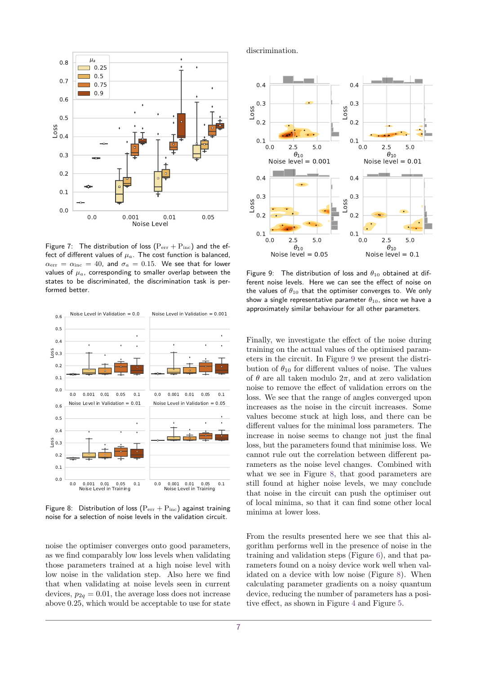<span id="page-6-0"></span>

Figure 7: The distribution of loss  $(P_{err} + P_{inc})$  and the effect of different values of  $\mu_a$ . The cost function is balanced,  $\alpha_{\text{err}} = \alpha_{\text{inc}} = 40$ , and  $\sigma_a = 0.15$ . We see that for lower values of  $\mu_a$ , corresponding to smaller overlap between the states to be discriminated, the discrimination task is performed better.

<span id="page-6-1"></span>

Figure 8: Distribution of loss  $(P_{err} + P_{inc})$  against training noise for a selection of noise levels in the validation circuit.

noise the optimiser converges onto good parameters, as we find comparably low loss levels when validating those parameters trained at a high noise level with low noise in the validation step. Also here we find that when validating at noise levels seen in current devices,  $p_{2q} = 0.01$ , the average loss does not increase above 0*.*25, which would be acceptable to use for state discrimination.

<span id="page-6-2"></span>

Figure 9: The distribution of loss and *θ*<sup>10</sup> obtained at different noise levels. Here we can see the effect of noise on the values of  $\theta_{10}$  that the optimiser converges to. We only show a single representative parameter  $\theta_{10}$ , since we have a approximately similar behaviour for all other parameters.

Finally, we investigate the effect of the noise during training on the actual values of the optimised parameters in the circuit. In Figure [9](#page-6-2) we present the distribution of  $\theta_{10}$  for different values of noise. The values of  $\theta$  are all taken modulo  $2\pi$ , and at zero validation noise to remove the effect of validation errors on the loss. We see that the range of angles converged upon increases as the noise in the circuit increases. Some values become stuck at high loss, and there can be different values for the minimal loss parameters. The increase in noise seems to change not just the final loss, but the parameters found that minimise loss. We cannot rule out the correlation between different parameters as the noise level changes. Combined with what we see in Figure [8,](#page-6-1) that good parameters are still found at higher noise levels, we may conclude that noise in the circuit can push the optimiser out of local minima, so that it can find some other local minima at lower loss.

From the results presented here we see that this algorithm performs well in the presence of noise in the training and validation steps (Figure [6\)](#page-5-2), and that parameters found on a noisy device work well when validated on a device with low noise (Figure [8\)](#page-6-1). When calculating parameter gradients on a noisy quantum device, reducing the number of parameters has a positive effect, as shown in Figure [4](#page-5-0) and Figure [5.](#page-5-1)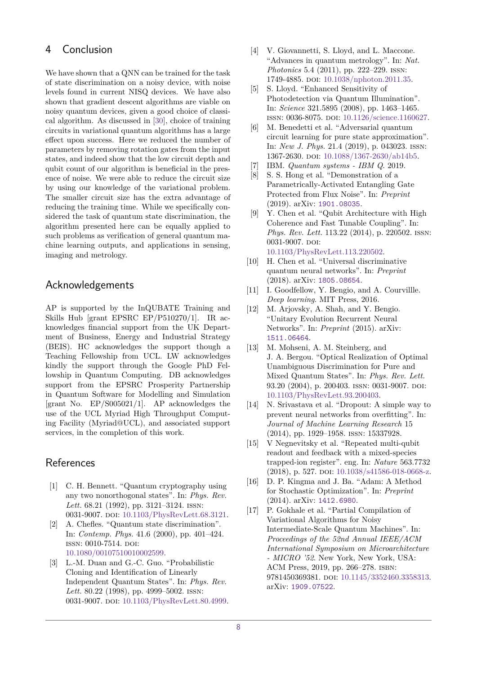# 4 Conclusion

We have shown that a QNN can be trained for the task of state discrimination on a noisy device, with noise levels found in current NISQ devices. We have also shown that gradient descent algorithms are viable on noisy quantum devices, given a good choice of classical algorithm. As discussed in [\[30\]](#page-8-12), choice of training circuits in variational quantum algorithms has a large effect upon success. Here we reduced the number of parameters by removing rotation gates from the input states, and indeed show that the low circuit depth and qubit count of our algorithm is beneficial in the presence of noise. We were able to reduce the circuit size by using our knowledge of the variational problem. The smaller circuit size has the extra advantage of reducing the training time. While we specifically considered the task of quantum state discrimination, the algorithm presented here can be equally applied to such problems as verification of general quantum machine learning outputs, and applications in sensing, imaging and metrology.

# Acknowledgements

AP is supported by the InQUBATE Training and Skills Hub [grant EPSRC EP/P510270/1]. IR acknowledges financial support from the UK Department of Business, Energy and Industrial Strategy (BEIS). HC acknowledges the support though a Teaching Fellowship from UCL. LW acknowledges kindly the support through the Google PhD Fellowship in Quantum Computing. DB acknowledges support from the EPSRC Prosperity Partnership in Quantum Software for Modelling and Simulation [grant No.  $EP/S005021/1$ ]. AP acknowledges the use of the UCL Myriad High Throughput Computing Facility (Myriad@UCL), and associated support services, in the completion of this work.

# References

- <span id="page-7-0"></span>[1] C. H. Bennett. "Quantum cryptography using any two nonorthogonal states". In: *Phys. Rev. Lett.* 68.21 (1992), pp. 3121–3124. issn: 0031-9007. poi: [10.1103/PhysRevLett.68.3121.](https://doi.org/10.1103/PhysRevLett.68.3121)
- <span id="page-7-1"></span>[2] A. Chefles. "Quantum state discrimination". In: *Contemp. Phys.* 41.6 (2000), pp. 401–424. ISSN: 0010-7514. DOI: [10.1080/00107510010002599.](https://doi.org/10.1080/00107510010002599)
- <span id="page-7-2"></span>[3] L.-M. Duan and G.-C. Guo. "Probabilistic Cloning and Identification of Linearly Independent Quantum States". In: *Phys. Rev. Lett.* 80.22 (1998), pp. 4999–5002. issn: 0031-9007. poi: [10.1103/PhysRevLett.80.4999.](https://doi.org/10.1103/PhysRevLett.80.4999)
- <span id="page-7-3"></span>[4] V. Giovannetti, S. Lloyd, and L. Maccone. "Advances in quantum metrology". In: *Nat. Photonics* 5.4 (2011), pp. 222–229. issn: 1749-4885. doi: [10.1038/nphoton.2011.35.](https://doi.org/10.1038/nphoton.2011.35)
- <span id="page-7-4"></span>[5] S. Lloyd. "Enhanced Sensitivity of Photodetection via Quantum Illumination". In: *Science* 321.5895 (2008), pp. 1463–1465. issn: 0036-8075. doi: [10.1126/science.1160627.](https://doi.org/10.1126/science.1160627)
- <span id="page-7-5"></span>[6] M. Benedetti et al. "Adversarial quantum circuit learning for pure state approximation". In: *New J. Phys.* 21.4 (2019), p. 043023. issn: 1367-2630. doi: [10.1088/1367-2630/ab14b5.](https://doi.org/10.1088/1367-2630/ab14b5)
- <span id="page-7-6"></span>[7] IBM. *Quantum systems - IBM Q*. 2019.
- <span id="page-7-7"></span>[8] S. S. Hong et al. "Demonstration of a Parametrically-Activated Entangling Gate Protected from Flux Noise". In: *Preprint* (2019). arXiv: [1901.08035](https://arxiv.org/abs/1901.08035).
- <span id="page-7-8"></span>[9] Y. Chen et al. "Qubit Architecture with High Coherence and Fast Tunable Coupling". In: *Phys. Rev. Lett.* 113.22 (2014), p. 220502. issn: 0031-9007. DOI: [10.1103/PhysRevLett.113.220502.](https://doi.org/10.1103/PhysRevLett.113.220502)
- <span id="page-7-9"></span>[10] H. Chen et al. "Universal discriminative quantum neural networks". In: *Preprint* (2018). arXiv: [1805.08654](https://arxiv.org/abs/1805.08654).
- <span id="page-7-10"></span>[11] I. Goodfellow, Y. Bengio, and A. Courvillle. *Deep learning*. MIT Press, 2016.
- <span id="page-7-11"></span>[12] M. Arjovsky, A. Shah, and Y. Bengio. "Unitary Evolution Recurrent Neural Networks". In: *Preprint* (2015). arXiv: [1511.06464](https://arxiv.org/abs/1511.06464).
- <span id="page-7-12"></span>[13] M. Mohseni, A. M. Steinberg, and J. A. Bergou. "Optical Realization of Optimal Unambiguous Discrimination for Pure and Mixed Quantum States". In: *Phys. Rev. Lett.* 93.20 (2004), p. 200403. ISSN: 0031-9007. DOI: [10.1103/PhysRevLett.93.200403.](https://doi.org/10.1103/PhysRevLett.93.200403)
- <span id="page-7-13"></span>[14] N. Srivastava et al. "Dropout: A simple way to prevent neural networks from overfitting". In: *Journal of Machine Learning Research* 15 (2014), pp. 1929–1958. issn: 15337928.
- <span id="page-7-14"></span>[15] V Negnevitsky et al. "Repeated multi-qubit readout and feedback with a mixed-species trapped-ion register". eng. In: *Nature* 563.7732 (2018), p. 527. doi: [10.1038/s41586-018-0668-z.](https://doi.org/10.1038/s41586-018-0668-z)
- <span id="page-7-15"></span>[16] D. P. Kingma and J. Ba. "Adam: A Method for Stochastic Optimization". In: *Preprint* (2014). arXiv: [1412.6980](https://arxiv.org/abs/1412.6980).
- <span id="page-7-16"></span>[17] P. Gokhale et al. "Partial Compilation of Variational Algorithms for Noisy Intermediate-Scale Quantum Machines". In: *Proceedings of the 52nd Annual IEEE/ACM International Symposium on Microarchitecture - MICRO '52*. New York, New York, USA: ACM Press, 2019, pp. 266–278. isbn: 9781450369381. poi: [10.1145/3352460.3358313.](https://doi.org/10.1145/3352460.3358313) arXiv: [1909.07522](https://arxiv.org/abs/1909.07522).